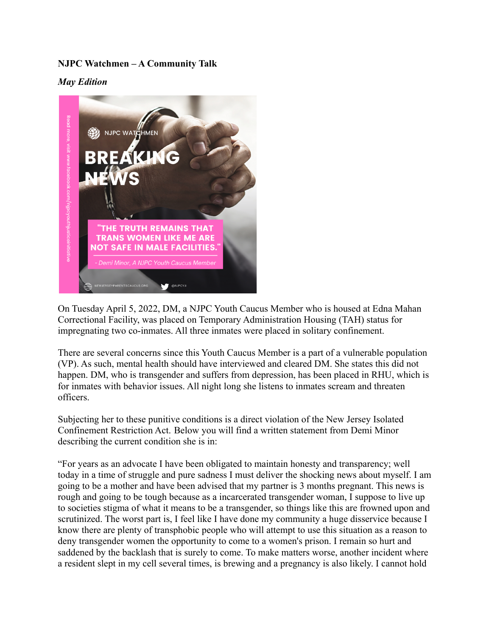## **NJPC Watchmen – A Community Talk**

*May Edition*



On Tuesday April 5, 2022, DM, a NJPC Youth Caucus Member who is housed at Edna Mahan Correctional Facility, was placed on Temporary Administration Housing (TAH) status for impregnating two co-inmates. All three inmates were placed in solitary confinement.

There are several concerns since this Youth Caucus Member is a part of a vulnerable population (VP). As such, mental health should have interviewed and cleared DM. She states this did not happen. DM, who is transgender and suffers from depression, has been placed in RHU, which is for inmates with behavior issues. All night long she listens to inmates scream and threaten officers.

Subjecting her to these punitive conditions is a direct violation of the New Jersey Isolated Confinement Restriction Act. Below you will find a written statement from Demi Minor describing the current condition she is in:

"For years as an advocate I have been obligated to maintain honesty and transparency; well today in a time of struggle and pure sadness I must deliver the shocking news about myself. I am going to be a mother and have been advised that my partner is 3 months pregnant. This news is rough and going to be tough because as a incarcerated transgender woman, I suppose to live up to societies stigma of what it means to be a transgender, so things like this are frowned upon and scrutinized. The worst part is, I feel like I have done my community a huge disservice because I know there are plenty of transphobic people who will attempt to use this situation as a reason to deny transgender women the opportunity to come to a women's prison. I remain so hurt and saddened by the backlash that is surely to come. To make matters worse, another incident where a resident slept in my cell several times, is brewing and a pregnancy is also likely. I cannot hold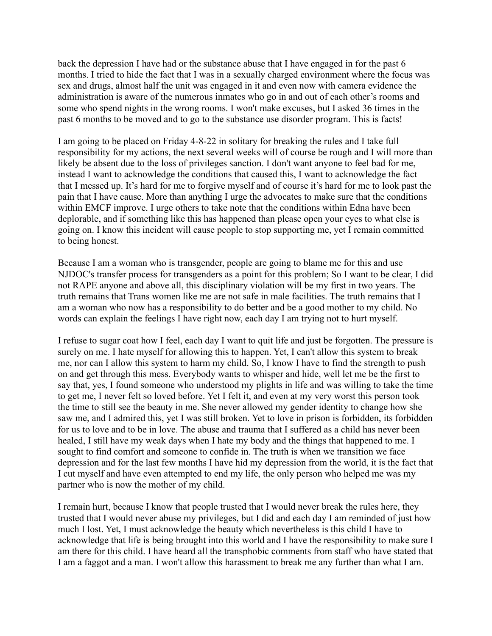back the depression I have had or the substance abuse that I have engaged in for the past 6 months. I tried to hide the fact that I was in a sexually charged environment where the focus was sex and drugs, almost half the unit was engaged in it and even now with camera evidence the administration is aware of the numerous inmates who go in and out of each other's rooms and some who spend nights in the wrong rooms. I won't make excuses, but I asked 36 times in the past 6 months to be moved and to go to the substance use disorder program. This is facts!

I am going to be placed on Friday 4-8-22 in solitary for breaking the rules and I take full responsibility for my actions, the next several weeks will of course be rough and I will more than likely be absent due to the loss of privileges sanction. I don't want anyone to feel bad for me, instead I want to acknowledge the conditions that caused this, I want to acknowledge the fact that I messed up. It's hard for me to forgive myself and of course it's hard for me to look past the pain that I have cause. More than anything I urge the advocates to make sure that the conditions within EMCF improve. I urge others to take note that the conditions within Edna have been deplorable, and if something like this has happened than please open your eyes to what else is going on. I know this incident will cause people to stop supporting me, yet I remain committed to being honest.

Because I am a woman who is transgender, people are going to blame me for this and use NJDOC's transfer process for transgenders as a point for this problem; So I want to be clear, I did not RAPE anyone and above all, this disciplinary violation will be my first in two years. The truth remains that Trans women like me are not safe in male facilities. The truth remains that I am a woman who now has a responsibility to do better and be a good mother to my child. No words can explain the feelings I have right now, each day I am trying not to hurt myself.

I refuse to sugar coat how I feel, each day I want to quit life and just be forgotten. The pressure is surely on me. I hate myself for allowing this to happen. Yet, I can't allow this system to break me, nor can I allow this system to harm my child. So, I know I have to find the strength to push on and get through this mess. Everybody wants to whisper and hide, well let me be the first to say that, yes, I found someone who understood my plights in life and was willing to take the time to get me, I never felt so loved before. Yet I felt it, and even at my very worst this person took the time to still see the beauty in me. She never allowed my gender identity to change how she saw me, and I admired this, yet I was still broken. Yet to love in prison is forbidden, its forbidden for us to love and to be in love. The abuse and trauma that I suffered as a child has never been healed, I still have my weak days when I hate my body and the things that happened to me. I sought to find comfort and someone to confide in. The truth is when we transition we face depression and for the last few months I have hid my depression from the world, it is the fact that I cut myself and have even attempted to end my life, the only person who helped me was my partner who is now the mother of my child.

I remain hurt, because I know that people trusted that I would never break the rules here, they trusted that I would never abuse my privileges, but I did and each day I am reminded of just how much I lost. Yet, I must acknowledge the beauty which nevertheless is this child I have to acknowledge that life is being brought into this world and I have the responsibility to make sure I am there for this child. I have heard all the transphobic comments from staff who have stated that I am a faggot and a man. I won't allow this harassment to break me any further than what I am.